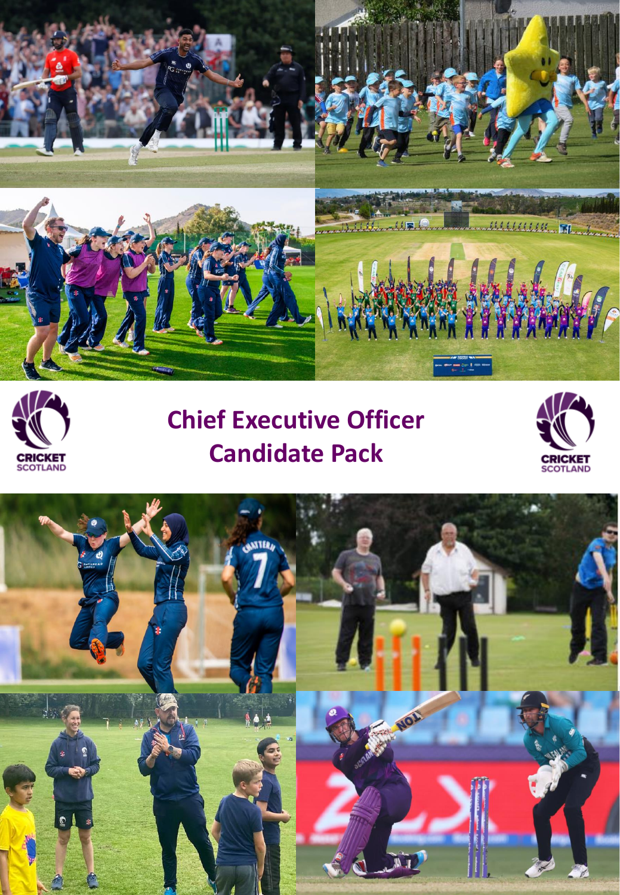



# **Chief Executive Officer Candidate Pack**



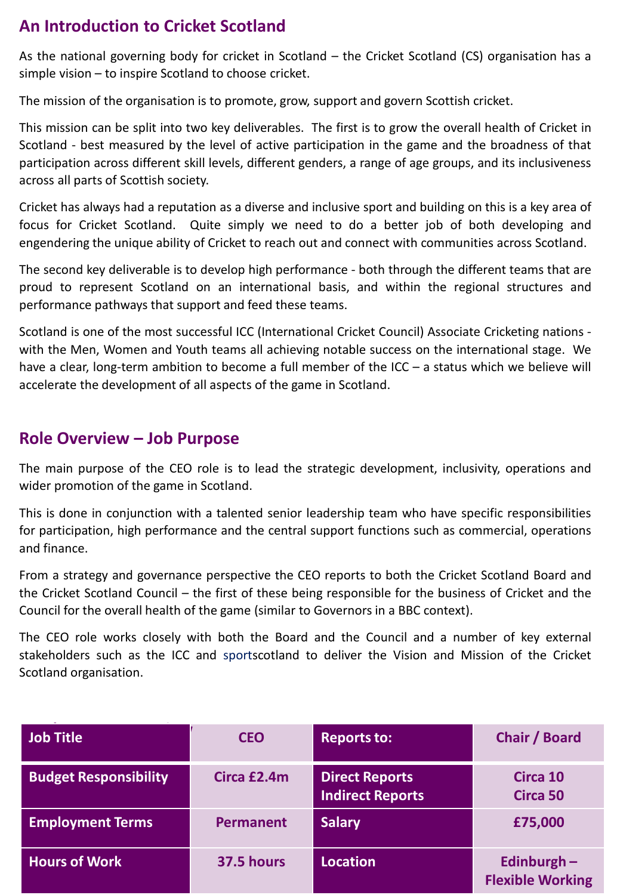# **An Introduction to Cricket Scotland**

As the national governing body for cricket in Scotland – the Cricket Scotland (CS) organisation has a simple vision – to inspire Scotland to choose cricket.

The mission of the organisation is to promote, grow, support and govern Scottish cricket.

This mission can be split into two key deliverables. The first is to grow the overall health of Cricket in Scotland - best measured by the level of active participation in the game and the broadness of that participation across different skill levels, different genders, a range of age groups, and its inclusiveness across all parts of Scottish society.

Cricket has always had a reputation as a diverse and inclusive sport and building on this is a key area of focus for Cricket Scotland. Quite simply we need to do a better job of both developing and engendering the unique ability of Cricket to reach out and connect with communities across Scotland.

The second key deliverable is to develop high performance - both through the different teams that are proud to represent Scotland on an international basis, and within the regional structures and performance pathways that support and feed these teams.

Scotland is one of the most successful ICC (International Cricket Council) Associate Cricketing nations with the Men, Women and Youth teams all achieving notable success on the international stage. We have a clear, long-term ambition to become a full member of the ICC – a status which we believe will accelerate the development of all aspects of the game in Scotland.

#### **Role Overview – Job Purpose**

The main purpose of the CEO role is to lead the strategic development, inclusivity, operations and wider promotion of the game in Scotland.

This is done in conjunction with a talented senior leadership team who have specific responsibilities for participation, high performance and the central support functions such as commercial, operations and finance.

From a strategy and governance perspective the CEO reports to both the Cricket Scotland Board and the Cricket Scotland Council – the first of these being responsible for the business of Cricket and the Council for the overall health of the game (similar to Governors in a BBC context).

The CEO role works closely with both the Board and the Council and a number of key external stakeholders such as the ICC and sportscotland to deliver the Vision and Mission of the Cricket Scotland organisation.

| <b>Job Title</b>             | <b>CEO</b>       | <b>Reports to:</b>                               | <b>Chair / Board</b>                     |
|------------------------------|------------------|--------------------------------------------------|------------------------------------------|
| <b>Budget Responsibility</b> | Circa £2.4m      | <b>Direct Reports</b><br><b>Indirect Reports</b> | Circa 10<br>Circa 50                     |
| <b>Employment Terms</b>      | <b>Permanent</b> | <b>Salary</b>                                    | £75,000                                  |
| <b>Hours of Work</b>         | 37.5 hours       | <b>Location</b>                                  | Edinburgh $-$<br><b>Flexible Working</b> |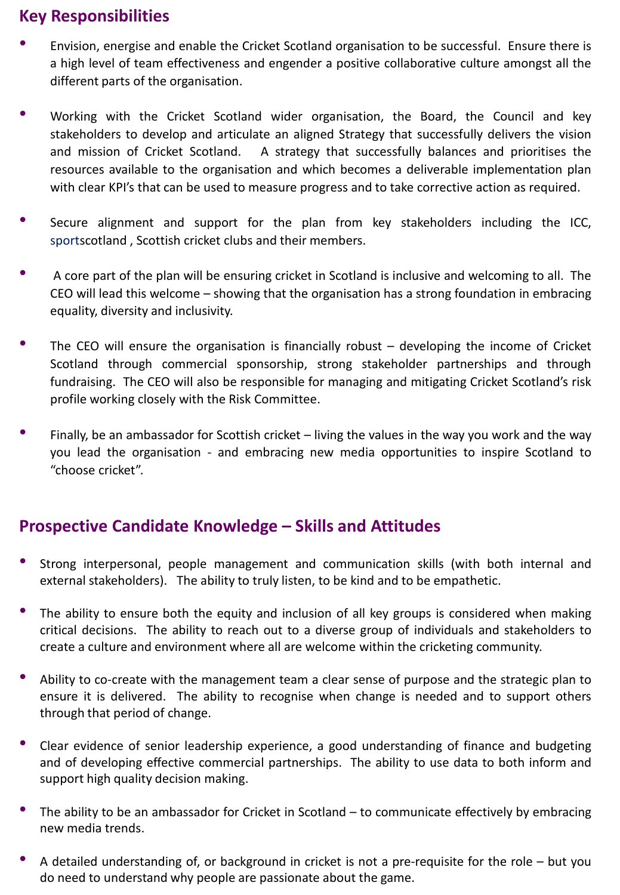# **Key Responsibilities**

- Envision, energise and enable the Cricket Scotland organisation to be successful. Ensure there is a high level of team effectiveness and engender a positive collaborative culture amongst all the different parts of the organisation.
- Working with the Cricket Scotland wider organisation, the Board, the Council and key stakeholders to develop and articulate an aligned Strategy that successfully delivers the vision and mission of Cricket Scotland. A strategy that successfully balances and prioritises the resources available to the organisation and which becomes a deliverable implementation plan with clear KPI's that can be used to measure progress and to take corrective action as required.
- Secure alignment and support for the plan from key stakeholders including the ICC, sportscotland , Scottish cricket clubs and their members.
- <sup>A</sup> core part of the plan will be ensuring cricket in Scotland is inclusive and welcoming to all. The CEO will lead this welcome – showing that the organisation has a strong foundation in embracing equality, diversity and inclusivity.
- The CEO will ensure the organisation is financially robust  $-$  developing the income of Cricket Scotland through commercial sponsorship, strong stakeholder partnerships and through fundraising. The CEO will also be responsible for managing and mitigating Cricket Scotland's risk profile working closely with the Risk Committee.
- Finally, be an ambassador for Scottish cricket living the values in the way you work and the way you lead the organisation - and embracing new media opportunities to inspire Scotland to "choose cricket".

## **Prospective Candidate Knowledge – Skills and Attitudes**

- Strong interpersonal, people management and communication skills (with both internal and external stakeholders). The ability to truly listen, to be kind and to be empathetic.
- The ability to ensure both the equity and inclusion of all key groups is considered when making critical decisions. The ability to reach out to a diverse group of individuals and stakeholders to create a culture and environment where all are welcome within the cricketing community.
- Ability to co-create with the management team <sup>a</sup> clear sense of purpose and the strategic plan to ensure it is delivered. The ability to recognise when change is needed and to support others through that period of change.
- Clear evidence of senior leadership experience, <sup>a</sup> good understanding of finance and budgeting and of developing effective commercial partnerships. The ability to use data to both inform and support high quality decision making.
- The ability to be an ambassador for Cricket in Scotland  $-$  to communicate effectively by embracing new media trends.
- <sup>A</sup> detailed understanding of, or background in cricket is not <sup>a</sup> pre-requisite for the role but you do need to understand why people are passionate about the game.